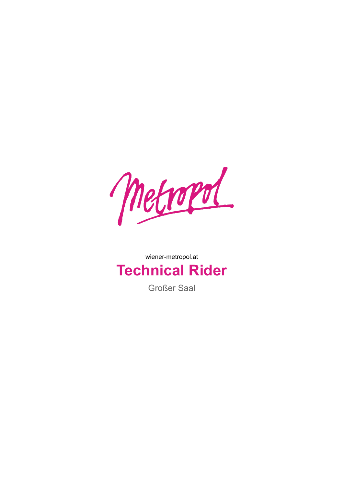

## wiener-metropol.at **Technical Rider**

Großer Saal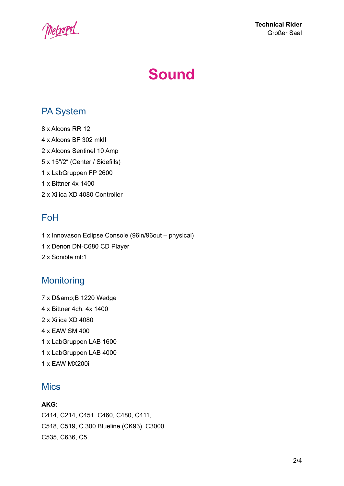

# **Sound**

### PA System

 x Alcons RR 12 x Alcons BF 302 mkII x Alcons Sentinel 10 Amp x 15"/2" (Center / Sidefills) x LabGruppen FP 2600 x Bittner 4x 1400 x Xilica XD 4080 Controller

### FoH

1 x Innovason Eclipse Console (96in/96out – physical) 1 x Denon DN-C680 CD Player 2 x Sonible ml:1

### **Monitoring**

7 x D& B 1220 Wedge x Bittner 4ch. 4x 1400 x Xilica XD 4080 x EAW SM 400 x LabGruppen LAB 1600 x LabGruppen LAB 4000 x EAW MX200i

### **Mics**

#### **AKG:**

C414, C214, C451, C460, C480, C411, C518, C519, C 300 Blueline (CK93), C3000 C535, C636, C5,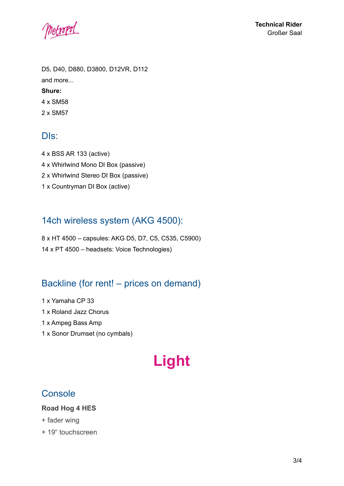metropol

D5, D40, D880, D3800, D12VR, D112 and more... **Shure:** 4 x SM58

2 x SM57

### DIs:

 x BSS AR 133 (active) x Whirlwind Mono DI Box (passive) x Whirlwind Stereo DI Box (passive) x Countryman DI Box (active)

### 14ch wireless system (AKG 4500):

8 x HT 4500 – capsules: AKG D5, D7, C5, C535, C5900) 14 x PT 4500 – headsets: Voice Technologies)

### Backline (for rent! – prices on demand)

1 x Yamaha CP 33 1 x Roland Jazz Chorus

1 x Ampeg Bass Amp

1 x Sonor Drumset (no cymbals)

## **Light**

### **Console**

#### **Road Hog 4 HES**

- + fader wing
- + 19" touchscreen